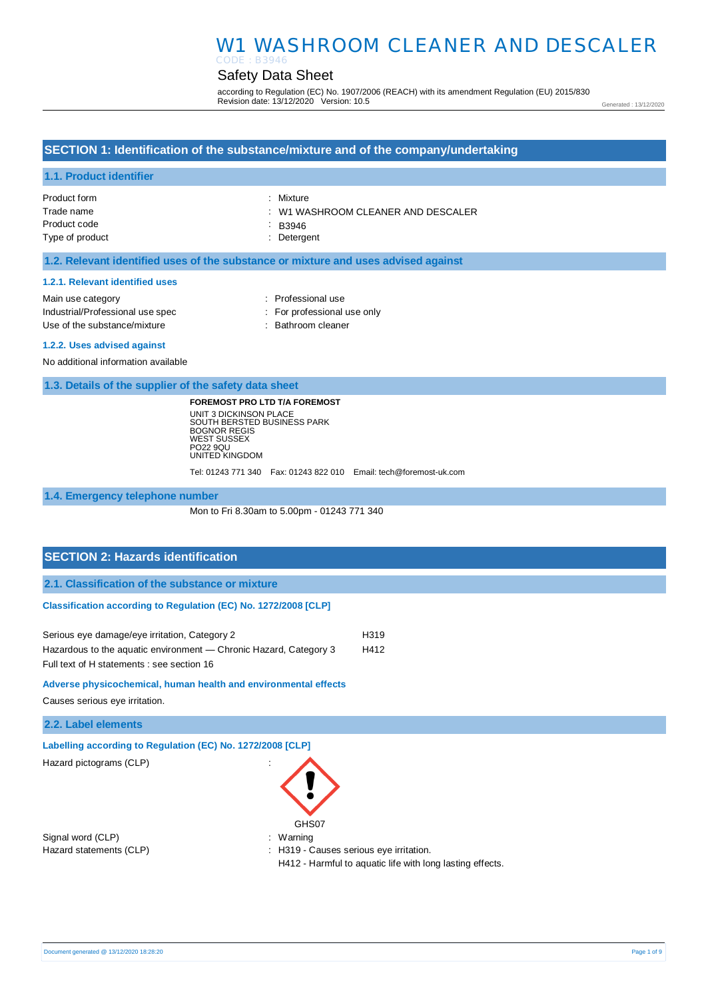# W1 WASHROOM CLEANER AND DESCALER CODE : B3946

# Safety Data Sheet

according to Regulation (EC) No. 1907/2006 (REACH) with its amendment Regulation (EU) 2015/830 Revision date: 13/12/2020 Version: 10.5

Generated : 13/12/2020

# **SECTION 1: Identification of the substance/mixture and of the company/undertaking**

### **1.1. Product identifier**

| Product form<br>Trade name | : Mixture<br>$\therefore$ W1 WASHROOM CLEANER AND DESCALER |
|----------------------------|------------------------------------------------------------|
| Product code               | $\therefore$ B3946                                         |
| Type of product            | : Detergent                                                |

### **1.2. Relevant identified uses of the substance or mixture and uses advised against**

#### **1.2.1. Relevant identified uses**

| Main use category                | : Professional use          |
|----------------------------------|-----------------------------|
| Industrial/Professional use spec | : For professional use only |
| Use of the substance/mixture     | : Bathroom cleaner          |

#### **1.2.2. Uses advised against**

No additional information available

**1.3. Details of the supplier of the safety data sheet**

**FOREMOST PRO LTD T/A FOREMOST** UNIT 3 DICKINSON PLACE SOUTH BERSTED BUSINESS PARK BOGNOR REGIS WEST SUSSEX PO22 9QU UNITED KINGDOM

Tel: 01243 771 340 Fax: 01243 822 010 Email: tech@foremost-uk.com

**1.4. Emergency telephone number**

Mon to Fri 8.30am to 5.00pm - 01243 771 340

# **SECTION 2: Hazards identification**

**2.1. Classification of the substance or mixture**

## **Classification according to Regulation (EC) No. 1272/2008 [CLP]**

| Serious eye damage/eye irritation, Category 2                     | H319 |
|-------------------------------------------------------------------|------|
| Hazardous to the aquatic environment — Chronic Hazard, Category 3 | H412 |
| Full text of H statements : see section 16                        |      |

## **Adverse physicochemical, human health and environmental effects**

Causes serious eye irritation.

# **2.2. Label elements**

**Labelling according to Regulation (EC) No. 1272/2008 [CLP]** 

Hazard pictograms (CLP) :

Signal word (CLP)  $\qquad \qquad$ : Warning



Hazard statements (CLP) : H319 - Causes serious eye irritation.

H412 - Harmful to aquatic life with long lasting effects.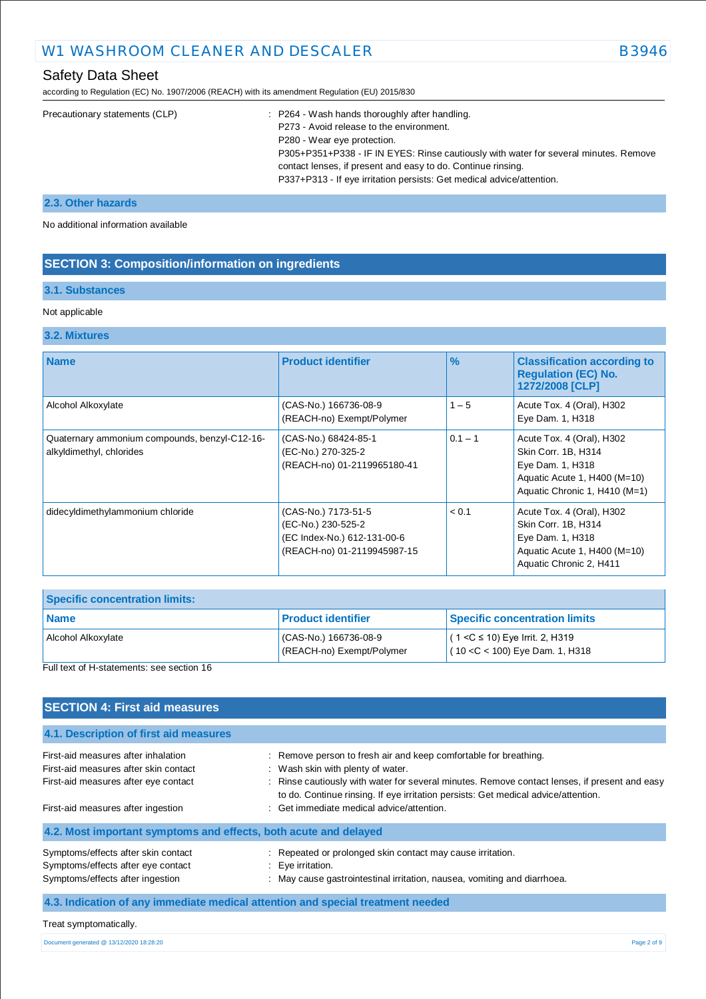according to Regulation (EC) No. 1907/2006 (REACH) with its amendment Regulation (EU) 2015/830

| Precautionary statements (CLP) | : P264 - Wash hands thoroughly after handling.                                       |
|--------------------------------|--------------------------------------------------------------------------------------|
|                                | P273 - Avoid release to the environment.                                             |
|                                | P280 - Wear eye protection.                                                          |
|                                | P305+P351+P338 - IF IN EYES: Rinse cautiously with water for several minutes. Remove |
|                                | contact lenses, if present and easy to do. Continue rinsing.                         |
|                                | P337+P313 - If eye irritation persists: Get medical advice/attention.                |
|                                |                                                                                      |

# **2.3. Other hazards**

No additional information available

# **SECTION 3: Composition/information on ingredients**

# **3.1. Substances**

### Not applicable

# **3.2. Mixtures**

| <b>Name</b>                                                               | <b>Product identifier</b>                                                                               | $\frac{9}{6}$ | <b>Classification according to</b><br><b>Requlation (EC) No.</b><br>1272/2008 [CLP]                                                   |
|---------------------------------------------------------------------------|---------------------------------------------------------------------------------------------------------|---------------|---------------------------------------------------------------------------------------------------------------------------------------|
| Alcohol Alkoxylate                                                        | (CAS-No.) 166736-08-9<br>(REACH-no) Exempt/Polymer                                                      | $1 - 5$       | Acute Tox. 4 (Oral), H302<br>Eye Dam. 1, H318                                                                                         |
| Quaternary ammonium compounds, benzyl-C12-16-<br>alkyldimethyl, chlorides | (CAS-No.) 68424-85-1<br>(EC-No.) 270-325-2<br>(REACH-no) 01-2119965180-41                               | $0.1 - 1$     | Acute Tox. 4 (Oral), H302<br>Skin Corr. 1B, H314<br>Eye Dam. 1, H318<br>Aquatic Acute 1, H400 (M=10)<br>Aquatic Chronic 1, H410 (M=1) |
| didecyldimethylammonium chloride                                          | (CAS-No.) 7173-51-5<br>(EC-No.) 230-525-2<br>(EC Index-No.) 612-131-00-6<br>(REACH-no) 01-2119945987-15 | < 0.1         | Acute Tox. 4 (Oral), H302<br>Skin Corr. 1B, H314<br>Eye Dam. 1, H318<br>Aquatic Acute 1, H400 (M=10)<br>Aquatic Chronic 2, H411       |

| <b>Specific concentration limits:</b> |                                                   |                                                                        |  |
|---------------------------------------|---------------------------------------------------|------------------------------------------------------------------------|--|
| Name                                  | <b>Product identifier</b>                         | <b>Specific concentration limits</b>                                   |  |
| Alcohol Alkoxylate                    | CAS-No.) 166736-08-9<br>(REACH-no) Exempt/Polymer | $(1 < C$ ≤ 10) Eye Irrit. 2, H319<br>$(10 < C < 100)$ Eye Dam. 1, H318 |  |

### Full text of H-statements: see section 16

| <b>SECTION 4: First aid measures</b>                                                                                 |                                                                                                                                                                                                                                                                                              |             |
|----------------------------------------------------------------------------------------------------------------------|----------------------------------------------------------------------------------------------------------------------------------------------------------------------------------------------------------------------------------------------------------------------------------------------|-------------|
| 4.1. Description of first aid measures                                                                               |                                                                                                                                                                                                                                                                                              |             |
| First-aid measures after inhalation<br>First-aid measures after skin contact<br>First-aid measures after eye contact | : Remove person to fresh air and keep comfortable for breathing.<br>: Wash skin with plenty of water.<br>: Rinse cautiously with water for several minutes. Remove contact lenses, if present and easy<br>to do. Continue rinsing. If eye irritation persists: Get medical advice/attention. |             |
| First-aid measures after ingestion                                                                                   | : Get immediate medical advice/attention.                                                                                                                                                                                                                                                    |             |
| 4.2. Most important symptoms and effects, both acute and delayed                                                     |                                                                                                                                                                                                                                                                                              |             |
| Symptoms/effects after skin contact<br>Symptoms/effects after eye contact<br>Symptoms/effects after ingestion        | : Repeated or prolonged skin contact may cause irritation.<br>$: Eve$ irritation.<br>: May cause gastrointestinal irritation, nausea, vomiting and diarrhoea.                                                                                                                                |             |
| 4.3. Indication of any immediate medical attention and special treatment needed                                      |                                                                                                                                                                                                                                                                                              |             |
| Treat symptomatically.                                                                                               |                                                                                                                                                                                                                                                                                              |             |
| Document generated @ 13/12/2020 18:28:20                                                                             |                                                                                                                                                                                                                                                                                              | Page 2 of 9 |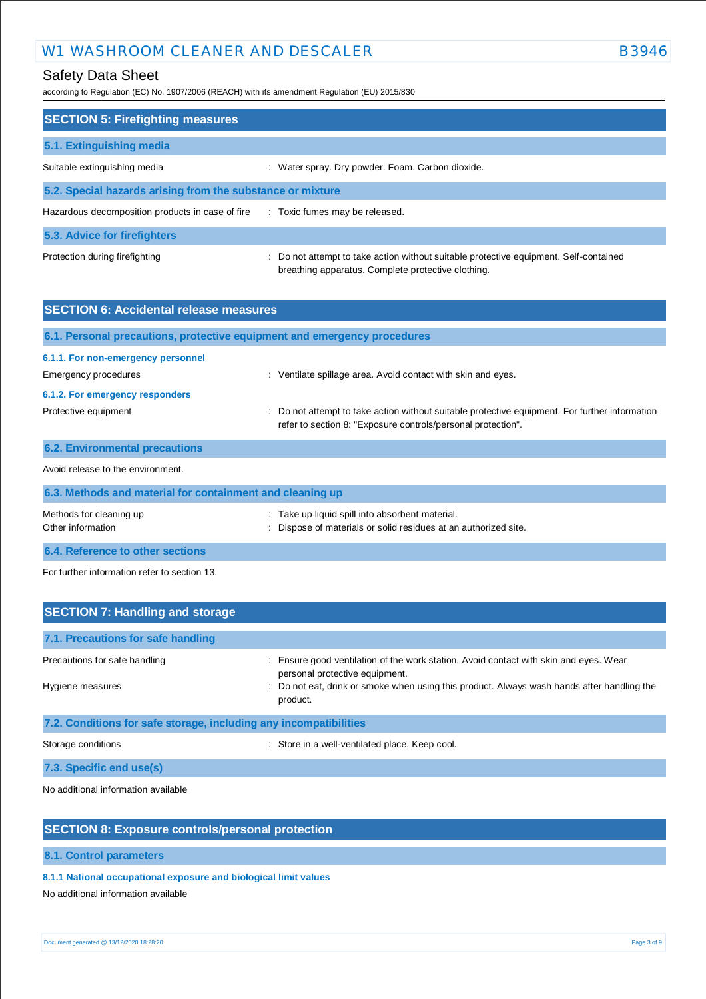# W1 WASHROOM CLEANER AND DESCALER B3946

according to Regulation (EC) No. 1907/2006 (REACH) with its amendment Regulation (EU) 2015/830

| <b>SECTION 5: Firefighting measures</b>                    |                                                                                                                                             |  |  |
|------------------------------------------------------------|---------------------------------------------------------------------------------------------------------------------------------------------|--|--|
| 5.1. Extinguishing media                                   |                                                                                                                                             |  |  |
| Suitable extinguishing media                               | : Water spray. Dry powder. Foam. Carbon dioxide.                                                                                            |  |  |
| 5.2. Special hazards arising from the substance or mixture |                                                                                                                                             |  |  |
| Hazardous decomposition products in case of fire           | : Toxic fumes may be released.                                                                                                              |  |  |
| 5.3. Advice for firefighters                               |                                                                                                                                             |  |  |
| Protection during firefighting                             | : Do not attempt to take action without suitable protective equipment. Self-contained<br>breathing apparatus. Complete protective clothing. |  |  |

| <b>SECTION 6: Accidental release measures</b>                            |                                                                                                                                                                |  |  |
|--------------------------------------------------------------------------|----------------------------------------------------------------------------------------------------------------------------------------------------------------|--|--|
| 6.1. Personal precautions, protective equipment and emergency procedures |                                                                                                                                                                |  |  |
| 6.1.1. For non-emergency personnel                                       |                                                                                                                                                                |  |  |
| Emergency procedures                                                     | : Ventilate spillage area. Avoid contact with skin and eyes.                                                                                                   |  |  |
| 6.1.2. For emergency responders                                          |                                                                                                                                                                |  |  |
| Protective equipment                                                     | : Do not attempt to take action without suitable protective equipment. For further information<br>refer to section 8: "Exposure controls/personal protection". |  |  |
| <b>6.2. Environmental precautions</b>                                    |                                                                                                                                                                |  |  |
| Avoid release to the environment.                                        |                                                                                                                                                                |  |  |
| 6.3. Methods and material for containment and cleaning up                |                                                                                                                                                                |  |  |
| Methods for cleaning up                                                  | : Take up liquid spill into absorbent material.                                                                                                                |  |  |

| Methods for cleaning up          | : Take up liquid spill into absorbent material.                 |
|----------------------------------|-----------------------------------------------------------------|
| Other information                | : Dispose of materials or solid residues at an authorized site. |
| 6.4. Reference to other sections |                                                                 |

For further information refer to section 13.

| <b>SECTION 7: Handling and storage</b>                            |                                                                                                                       |  |  |
|-------------------------------------------------------------------|-----------------------------------------------------------------------------------------------------------------------|--|--|
| 7.1. Precautions for safe handling                                |                                                                                                                       |  |  |
| Precautions for safe handling                                     | Ensure good ventilation of the work station. Avoid contact with skin and eyes. Wear<br>personal protective equipment. |  |  |
| Hygiene measures                                                  | : Do not eat, drink or smoke when using this product. Always wash hands after handling the<br>product.                |  |  |
| 7.2. Conditions for safe storage, including any incompatibilities |                                                                                                                       |  |  |
| Storage conditions                                                | : Store in a well-ventilated place. Keep cool.                                                                        |  |  |

**7.3. Specific end use(s)**

No additional information available

# **SECTION 8: Exposure controls/personal protection**

**8.1. Control parameters**

# **8.1.1 National occupational exposure and biological limit values**

No additional information available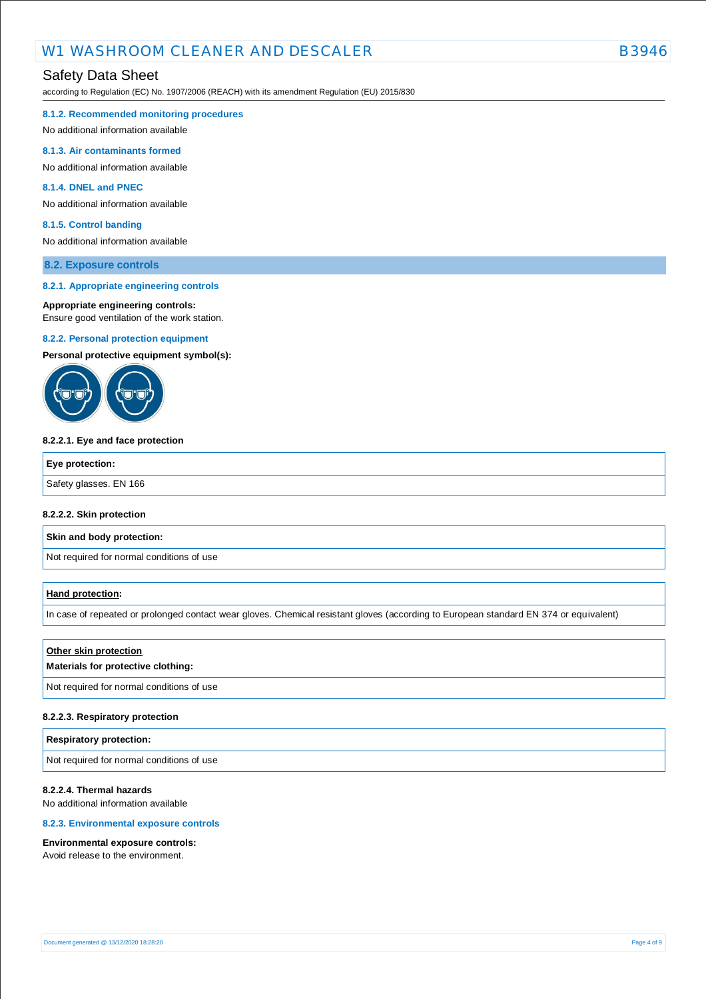# Safety Data Sheet

according to Regulation (EC) No. 1907/2006 (REACH) with its amendment Regulation (EU) 2015/830

#### **8.1.2. Recommended monitoring procedures**

No additional information available

#### **8.1.3. Air contaminants formed**

No additional information available

### **8.1.4. DNEL and PNEC**

No additional information available

#### **8.1.5. Control banding**

No additional information available

### **8.2. Exposure controls**

#### **8.2.1. Appropriate engineering controls**

#### **Appropriate engineering controls:**

Ensure good ventilation of the work station.

#### **8.2.2. Personal protection equipment**

**Personal protective equipment symbol(s):**



#### **8.2.2.1. Eye and face protection**

| Eye protection:        |  |
|------------------------|--|
| Safety glasses. EN 166 |  |
|                        |  |

#### **8.2.2.2. Skin protection**

**Skin and body protection:**

Not required for normal conditions of use

#### **Hand protection:**

In case of repeated or prolonged contact wear gloves. Chemical resistant gloves (according to European standard EN 374 or equivalent)

#### **Other skin protection**

### **Materials for protective clothing:**

Not required for normal conditions of use

#### **8.2.2.3. Respiratory protection**

#### **Respiratory protection:**

Not required for normal conditions of use

### **8.2.2.4. Thermal hazards**

No additional information available

### **8.2.3. Environmental exposure controls**

#### **Environmental exposure controls:**

Avoid release to the environment.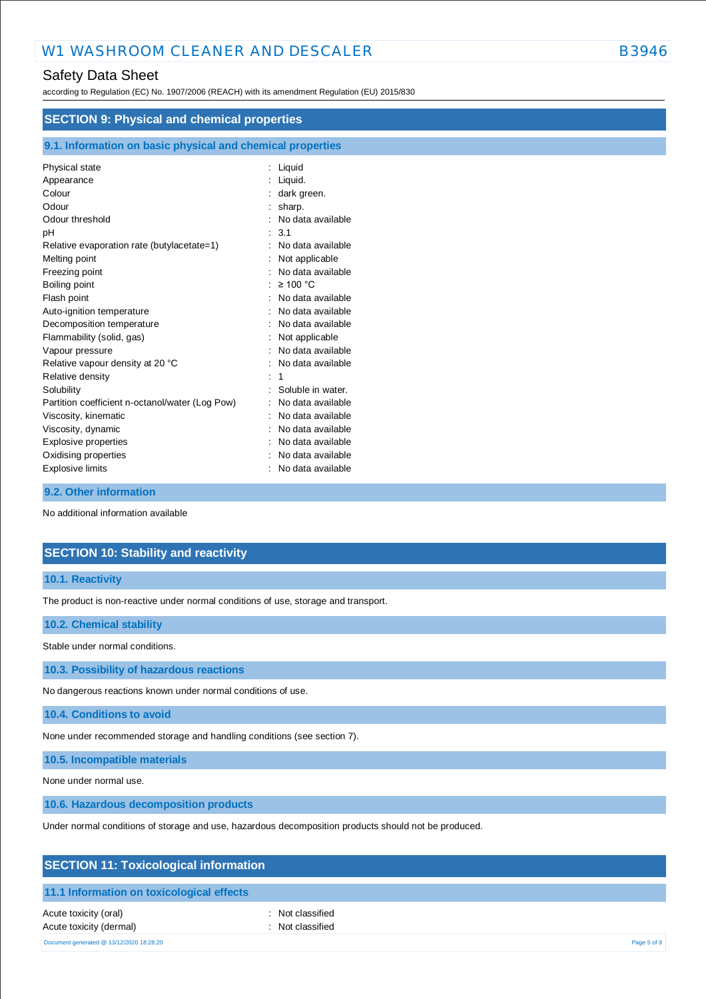# Safety Data Sheet

according to Regulation (EC) No. 1907/2006 (REACH) with its amendment Regulation (EU) 2015/830

| <b>SECTION 9: Physical and chemical properties</b><br>9.1. Information on basic physical and chemical properties |                    |  |
|------------------------------------------------------------------------------------------------------------------|--------------------|--|
|                                                                                                                  |                    |  |
| Appearance                                                                                                       | : Liquid.          |  |
| Colour                                                                                                           | dark green.        |  |
| Odour                                                                                                            | sharp.             |  |
| Odour threshold                                                                                                  | No data available  |  |
| рH                                                                                                               | 3.1                |  |
| Relative evaporation rate (butylacetate=1)                                                                       | No data available  |  |
| Melting point                                                                                                    | Not applicable     |  |
| Freezing point                                                                                                   | No data available  |  |
| Boiling point                                                                                                    | $\geq 100$ °C<br>٠ |  |
| Flash point                                                                                                      | No data available  |  |
| Auto-ignition temperature                                                                                        | No data available  |  |
| Decomposition temperature                                                                                        | No data available  |  |
| Flammability (solid, gas)                                                                                        | Not applicable     |  |
| Vapour pressure                                                                                                  | No data available  |  |
| Relative vapour density at 20 °C                                                                                 | No data available  |  |
| Relative density                                                                                                 |                    |  |
| Solubility                                                                                                       | Soluble in water.  |  |
| Partition coefficient n-octanol/water (Log Pow)                                                                  | No data available  |  |
| Viscosity, kinematic                                                                                             | No data available  |  |
| Viscosity, dynamic                                                                                               | No data available  |  |
| <b>Explosive properties</b>                                                                                      | No data available  |  |
| Oxidising properties                                                                                             | No data available  |  |
| <b>Explosive limits</b>                                                                                          | No data available  |  |

## **9.2. Other information**

No additional information available

# **SECTION 10: Stability and reactivity**

### **10.1. Reactivity**

The product is non-reactive under normal conditions of use, storage and transport.

#### **10.2. Chemical stability**

Stable under normal conditions.

**10.3. Possibility of hazardous reactions**

No dangerous reactions known under normal conditions of use.

**10.4. Conditions to avoid**

None under recommended storage and handling conditions (see section 7).

**10.5. Incompatible materials**

None under normal use.

**10.6. Hazardous decomposition products**

Under normal conditions of storage and use, hazardous decomposition products should not be produced.

# **SECTION 11: Toxicological information**

### **11.1 Information on toxicological effects**

Acute toxicity (oral) **Example 2** Constant Acute toxicity (oral) Acute toxicity (dermal) **Example 2** Contract 2 Contract 2 Contract 2 Contract 2 Contract 2 Contract 2 Contract 2 Contract 2 Contract 2 Contract 2 Contract 2 Contract 2 Contract 2 Contract 2 Contract 2 Contract 2 Contract 2

Document generated @ 13/12/2020 18:28:20 Page 5 of 9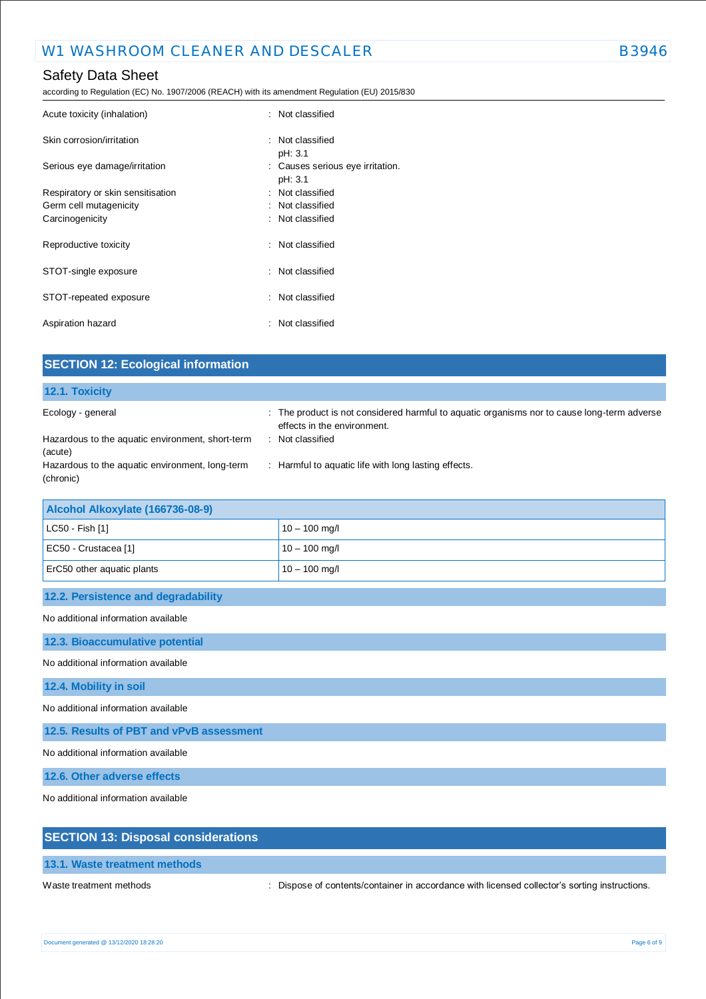# Safety Data Sheet

according to Regulation (EC) No. 1907/2006 (REACH) with its amendment Regulation (EU) 2015/830

| Acute toxicity (inhalation)       | : Not classified                 |
|-----------------------------------|----------------------------------|
| Skin corrosion/irritation         | : Not classified                 |
|                                   | pH: 3.1                          |
| Serious eye damage/irritation     | : Causes serious eye irritation. |
|                                   | pH: 3.1                          |
| Respiratory or skin sensitisation | : Not classified                 |
| Germ cell mutagenicity            | : Not classified                 |
| Carcinogenicity                   | : Not classified                 |
| Reproductive toxicity             | : Not classified                 |
| STOT-single exposure              | : Not classified                 |
| STOT-repeated exposure            | : Not classified                 |
| Aspiration hazard                 | : Not classified                 |

| <b>SECTION 12: Ecological information</b>                    |                                                                                                                            |  |
|--------------------------------------------------------------|----------------------------------------------------------------------------------------------------------------------------|--|
| 12.1. Toxicity                                               |                                                                                                                            |  |
| Ecology - general                                            | : The product is not considered harmful to aquatic organisms nor to cause long-term adverse<br>effects in the environment. |  |
| Hazardous to the aquatic environment, short-term<br>(acute)  | : Not classified                                                                                                           |  |
| Hazardous to the aquatic environment, long-term<br>(chronic) | : Harmful to aquatic life with long lasting effects.                                                                       |  |
| Alcohol Alkoxylate (166736-08-9)                             |                                                                                                                            |  |
| LC50 - Fish [1]                                              | $10 - 100$ mg/l                                                                                                            |  |
| EC50 - Crustacea [1]                                         | $10 - 100$ mg/l                                                                                                            |  |
| ErC50 other aquatic plants                                   | $10 - 100$ mg/l                                                                                                            |  |
| 12.2. Persistence and degradability                          |                                                                                                                            |  |
| No additional information available                          |                                                                                                                            |  |
| 12.3. Bioaccumulative potential                              |                                                                                                                            |  |
| No additional information available                          |                                                                                                                            |  |

**12.4. Mobility in soil**

No additional information available

**12.5. Results of PBT and vPvB assessment**

No additional information available

**12.6. Other adverse effects**

No additional information available

| <b>SECTION 13: Disposal considerations</b> |                                                                                               |
|--------------------------------------------|-----------------------------------------------------------------------------------------------|
| 13.1. Waste treatment methods              |                                                                                               |
| Waste treatment methods                    | : Dispose of contents/container in accordance with licensed collector's sorting instructions. |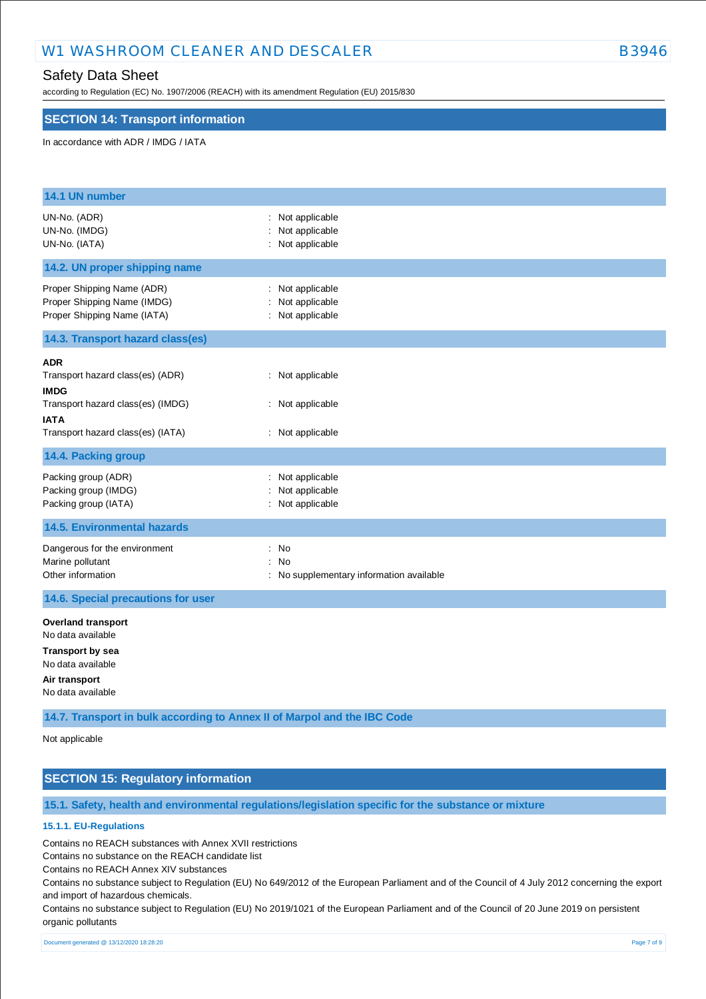# W1 WASHROOM CLEANER AND DESCALER B3946

# Safety Data Sheet

according to Regulation (EC) No. 1907/2006 (REACH) with its amendment Regulation (EU) 2015/830

## **SECTION 14: Transport information**

In accordance with ADR / IMDG / IATA

| 14.1 UN number                                                                                                                                  |                                                          |  |
|-------------------------------------------------------------------------------------------------------------------------------------------------|----------------------------------------------------------|--|
| UN-No. (ADR)<br>UN-No. (IMDG)<br>UN-No. (IATA)                                                                                                  | Not applicable<br>Not applicable<br>: Not applicable     |  |
| 14.2. UN proper shipping name                                                                                                                   |                                                          |  |
| Proper Shipping Name (ADR)<br>Proper Shipping Name (IMDG)<br>Proper Shipping Name (IATA)                                                        | : Not applicable<br>Not applicable<br>: Not applicable   |  |
| 14.3. Transport hazard class(es)                                                                                                                |                                                          |  |
| ADR<br>Transport hazard class(es) (ADR)<br><b>IMDG</b><br>Transport hazard class(es) (IMDG)<br><b>IATA</b><br>Transport hazard class(es) (IATA) | : Not applicable<br>: Not applicable<br>: Not applicable |  |
| 14.4. Packing group                                                                                                                             |                                                          |  |
| Packing group (ADR)<br>Packing group (IMDG)<br>Packing group (IATA)                                                                             | Not applicable<br>Not applicable<br>: Not applicable     |  |
| <b>14.5. Environmental hazards</b>                                                                                                              |                                                          |  |
| Dangerous for the environment<br>Marine pollutant<br>Other information                                                                          | : No<br>No<br>: No supplementary information available   |  |
| 14.6. Special precautions for user                                                                                                              |                                                          |  |
| <b>Overland transport</b><br>No data available<br><b>Transport by sea</b><br>No data available                                                  |                                                          |  |
| Air transport<br>No data available                                                                                                              |                                                          |  |

**14.7. Transport in bulk according to Annex II of Marpol and the IBC Code**

Not applicable

# **SECTION 15: Regulatory information**

**15.1. Safety, health and environmental regulations/legislation specific for the substance or mixture**

# **15.1.1. EU-Regulations**

Contains no REACH substances with Annex XVII restrictions

Contains no substance on the REACH candidate list

Contains no REACH Annex XIV substances

Contains no substance subject to Regulation (EU) No 649/2012 of the European Parliament and of the Council of 4 July 2012 concerning the export and import of hazardous chemicals.

Contains no substance subject to Regulation (EU) No 2019/1021 of the European Parliament and of the Council of 20 June 2019 on persistent organic pollutants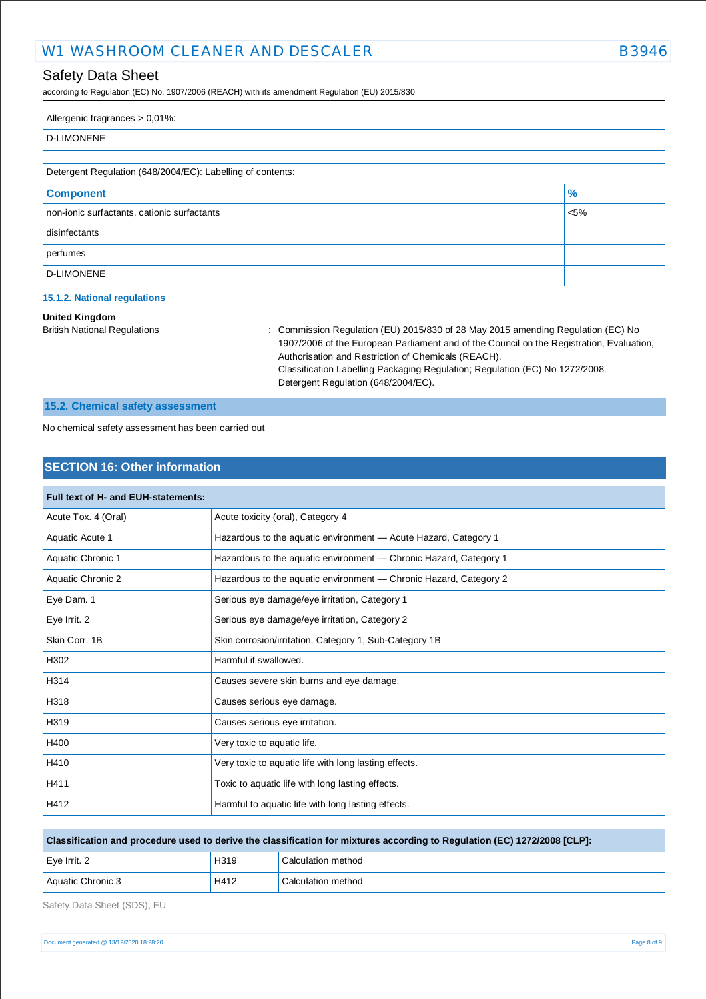# W1 WASHROOM CLEANER AND DESCALER **B3946**

# Safety Data Sheet

according to Regulation (EC) No. 1907/2006 (REACH) with its amendment Regulation (EU) 2015/830

| Allergenic fragrances $> 0.01\%$ :                         |         |  |
|------------------------------------------------------------|---------|--|
| D-LIMONENE                                                 |         |  |
|                                                            |         |  |
| Detergent Regulation (648/2004/EC): Labelling of contents: |         |  |
| <b>Component</b>                                           | $\%$    |  |
| non-ionic surfactants, cationic surfactants                | $< 5\%$ |  |

disinfectants

perfumes

D-LIMONENE

#### **15.1.2. National regulations**

### **United Kingdom**

British National Regulations : Commission Regulation (EU) 2015/830 of 28 May 2015 amending Regulation (EC) No 1907/2006 of the European Parliament and of the Council on the Registration, Evaluation, Authorisation and Restriction of Chemicals (REACH). Classification Labelling Packaging Regulation; Regulation (EC) No 1272/2008. Detergent Regulation (648/2004/EC).

### **15.2. Chemical safety assessment**

No chemical safety assessment has been carried out

# **SECTION 16: Other information**

| Full text of H- and EUH-statements: |                                                                   |  |  |
|-------------------------------------|-------------------------------------------------------------------|--|--|
| Acute Tox. 4 (Oral)                 | Acute toxicity (oral), Category 4                                 |  |  |
| Aquatic Acute 1                     | Hazardous to the aquatic environment - Acute Hazard, Category 1   |  |  |
| Aquatic Chronic 1                   | Hazardous to the aquatic environment - Chronic Hazard, Category 1 |  |  |
| Aquatic Chronic 2                   | Hazardous to the aquatic environment - Chronic Hazard, Category 2 |  |  |
| Eye Dam. 1                          | Serious eye damage/eye irritation, Category 1                     |  |  |
| Eye Irrit. 2                        | Serious eye damage/eye irritation, Category 2                     |  |  |
| Skin Corr. 1B                       | Skin corrosion/irritation, Category 1, Sub-Category 1B            |  |  |
| H302                                | Harmful if swallowed.                                             |  |  |
| H314                                | Causes severe skin burns and eye damage.                          |  |  |
| H318                                | Causes serious eye damage.                                        |  |  |
| H319                                | Causes serious eye irritation.                                    |  |  |
| H400                                | Very toxic to aquatic life.                                       |  |  |
| H410                                | Very toxic to aquatic life with long lasting effects.             |  |  |
| H411                                | Toxic to aquatic life with long lasting effects.                  |  |  |
| H412                                | Harmful to aquatic life with long lasting effects.                |  |  |

| Classification and procedure used to derive the classification for mixtures according to Regulation (EC) 1272/2008 [CLP]: |      |                    |
|---------------------------------------------------------------------------------------------------------------------------|------|--------------------|
| $Eve$ Irrit. 2                                                                                                            | H319 | Calculation method |
| Aquatic Chronic 3                                                                                                         | H412 | Calculation method |

Safety Data Sheet (SDS), EU